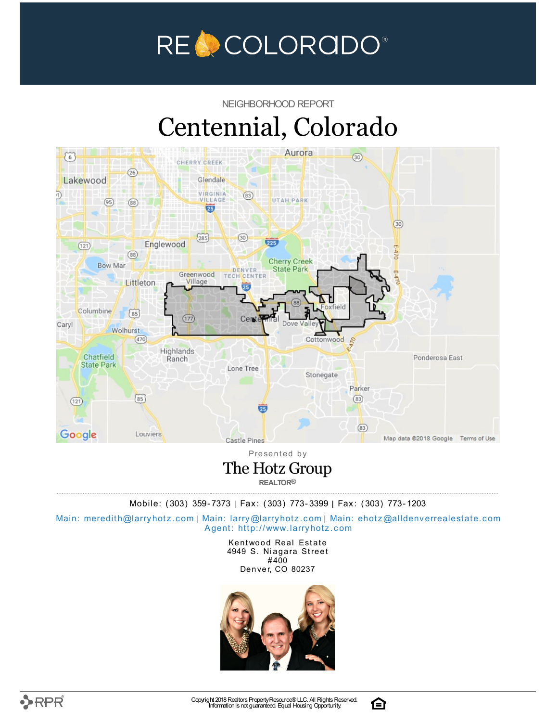

NEIGHBORHOOD REPORT

# Centennial, Colorado



Presented by The Hotz Group **REALTOR®**

Mobile: (303) 359-7373 | Fax: (303) 773-3399 | Fax: (303) 773-1203

Main: meredith@la[rry](mailto:larry@larryhotz.com)hotz.com | Main: larry@larryhotz.com | Main: ehotz@alldenve[rre](mailto:ehotz@alldenverrealestate.com)alestate.com Agent: http://[www.](http://www.larryhotz.com)larryhotz.com

> Kentwood Real Estate 4949 S. Niagara Street #400 Denver, CO 80237



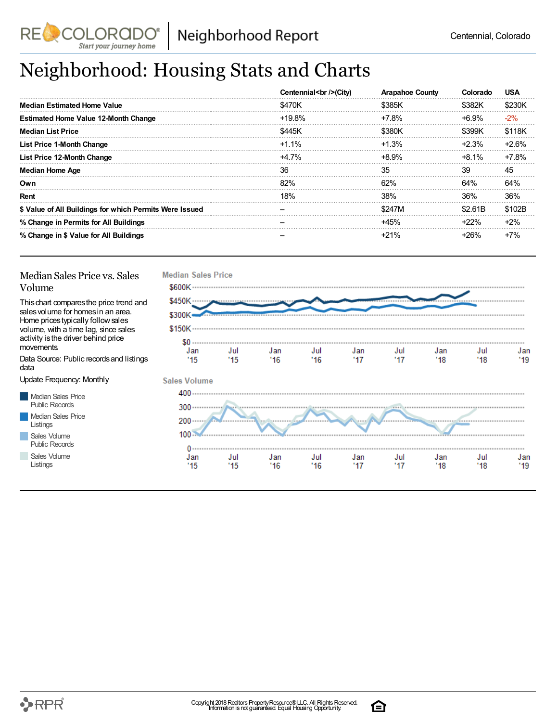

## Neighborhood: Housing Stats and Charts

|                                                         | Centennial<br>> /> City | <b>Arapahoe County</b> | Colorado | USA     |
|---------------------------------------------------------|-------------------------|------------------------|----------|---------|
| <b>Median Estimated Home Value</b>                      | \$470K                  | \$385K                 | \$382K   | \$230K  |
| <b>Estimated Home Value 12-Month Change</b>             | $+19.8%$                | $+7.8\%$               | +6.9%    | $-2\%$  |
| <b>Median List Price</b>                                | \$445K                  | \$380K                 | \$399K   | \$118K  |
| <b>List Price 1-Month Change</b>                        | $+1.1\%$                | $+1.3%$                | $+2.3%$  | $+2.6%$ |
| List Price 12-Month Change                              | $+4.7\%$                | +8.9%                  | $+8.1\%$ | $+7.8%$ |
| Median Home Age                                         | 36                      | 35                     | 39       | 45      |
| Own                                                     | 82%                     | 62%                    | 64%      | 64%     |
| Rent                                                    | 18%                     | 38%                    | 36%      | 36%     |
| \$ Value of All Buildings for which Permits Were Issued |                         | \$247M                 | \$2.61B  | \$102B  |
| % Change in Permits for All Buildings                   |                         | +45%                   | $+22%$   | $+2%$   |
| % Change in \$ Value for All Buildings                  |                         | $+21%$                 | $+26%$   | $+7%$   |

#### Median Sales Price vs. Sales Volume

Start your journey home

This chart compares the price trend and sales volume for homes in an area. Home prices typically follow sales volume, with a time lag, since sales activity is the driver behind price movements.

Data Source: Public records and listings data

Update Frequency: Monthly

Median Sales Price Public Records Median Sales Price Listings Sales Volume

Public Records Sales Volume

Listings



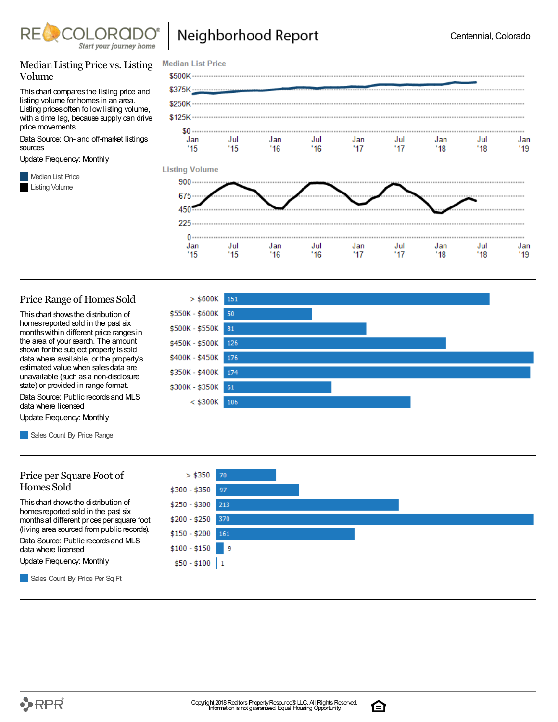

**Median List Price** 

 $>$  \$600K

\$550K - \$600K

151

50

#### Median Listing Price vs. Listing Volume

This chart compares the listing price and listing volume for homes in an area. Listing prices often follow listing volume, with a time lag, because supply can drive price movements.

Data Source: On- and off-market listings sources

Update Frequency: Monthly

**Median List Price** Listing Volume



#### Price Range of Homes Sold

This chart shows the distribution of homes reported sold in the past six months within different price ranges in the area of your search. The amount shown for the subject property is sold data where available, or the property's estimated value when sales data are unavailable (such as a non-disclosure state) or provided in range format.

Data Source: Public records and MLS data where licensed

Update Frequency: Monthly

Sales Count By Price Range

#### Price per Square Foot of Homes Sold

This chart shows the distribution of homes reported sold in the past six months at different prices per square foot (living area sourced from public records).

Data Source: Public records and MLS data where licensed

Update Frequency: Monthly





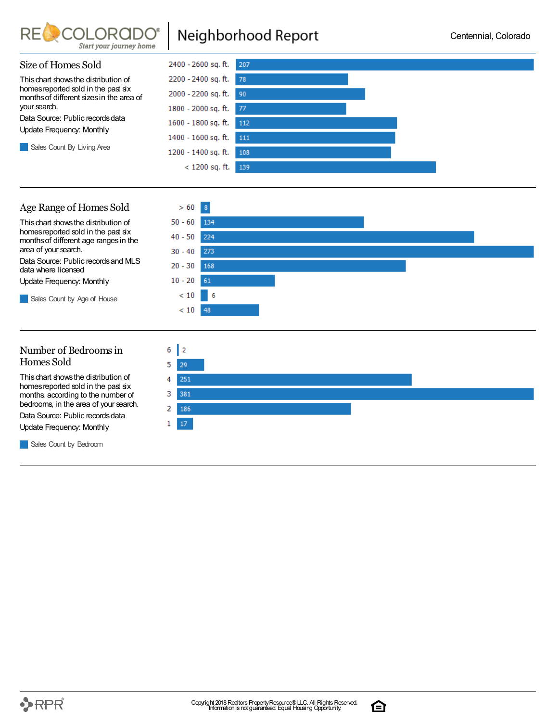

### Neighborhood Report



#### Age Range of Homes Sold



 $> 60$  $8$ 

#### Number of Bedrooms in Homes Sold

This chart shows the distribution of homes reported sold in the past six months, according to the number of bedrooms, in the area of your search.

Data Source: Public records data Update Frequency: Monthly

**Sales Count by Bedroom** 



ি

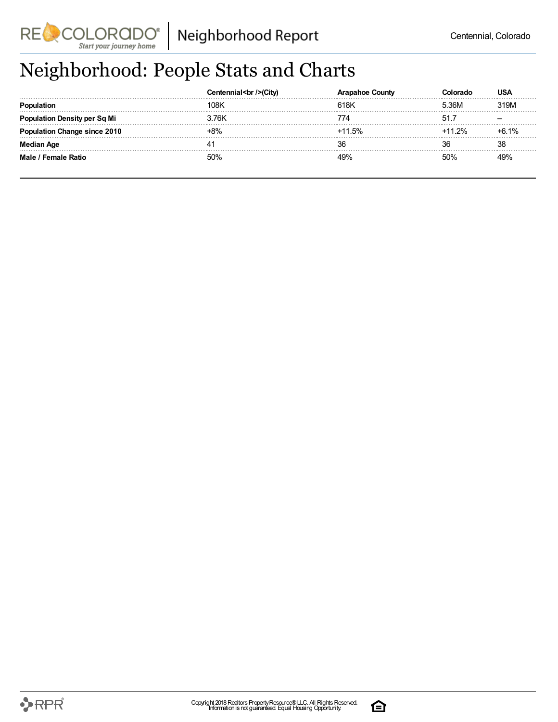

## Neighborhood: People Stats and Charts

|                                     | (CITV) | County   |                  | <b>USA</b> |
|-------------------------------------|--------|----------|------------------|------------|
|                                     | 108K   | 618K     | <sup>-</sup> 36M | 319M       |
| <b>Population Density per Sq Mi</b> | 3.76K  |          |                  |            |
| <b>Population Change since 2010</b> | -8%    | $+11.5%$ | $+11.2%$         | $+6.1%$    |
| <b>Median Age</b>                   |        |          | 36               | 38         |
| Male / Female Ratio                 | 50%    |          | 50%              | 49%        |

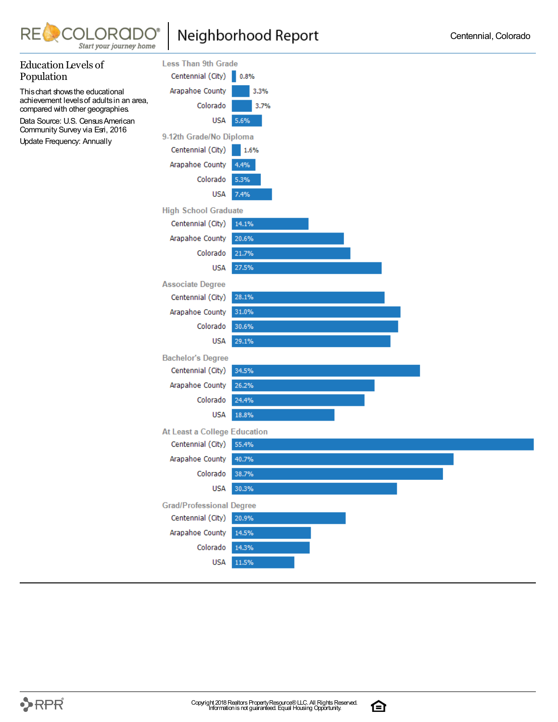

### Neighborhood Report



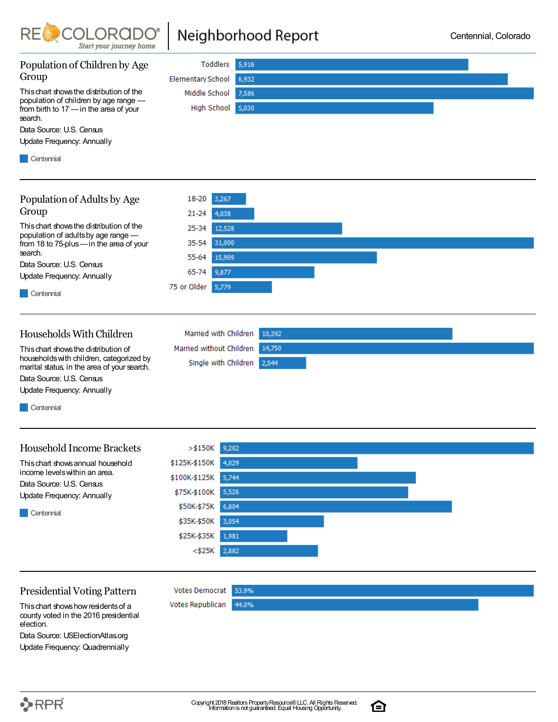

### Neighborhood Report



Data Source: USElectionAtlas.org Update Frequency: Quadrennially

合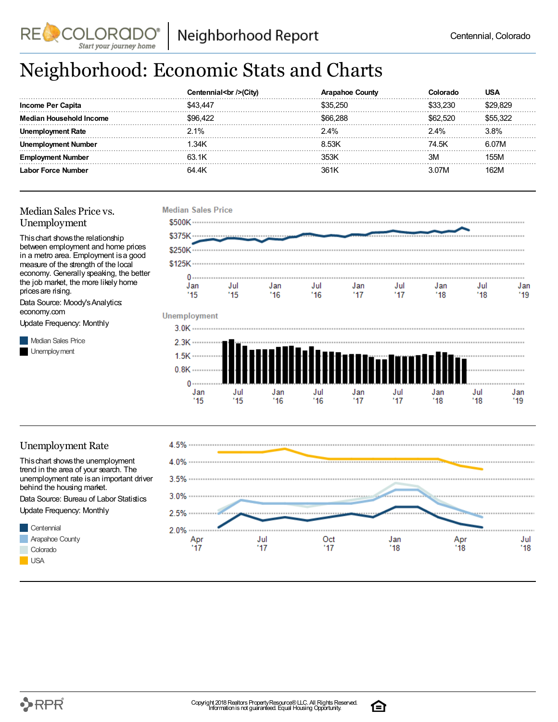## Neighborhood: Economic Stats and Charts

|                    | cen   | Junt∨  |       | JSA  |
|--------------------|-------|--------|-------|------|
| Income Per Capita  | : 44  | - 250. |       |      |
| hold Income        |       |        | 520   |      |
| кате               | 2.1%  | 2.4%   | 2.4%  | } 8% |
| nber               | .34K  | 8 53K  | 74.5K |      |
| Emp<br>nnei        | 63.1K | 353k   | ЗM    | 55M  |
| Labor Force Number | 64 AK | 361 k  |       |      |

#### Median Sales Price vs. Unemployment

**RE** 

This chart shows the relationship between employment and home prices in a metro area. Employment is a good measure of the strength of the local economy. Generally speaking, the better the job market, the more likely home prices are rising.

**COLORADC** Start your journey home

Data Source: Moody's Analytics: economy.com

Update Frequency: Monthly

**Median Sales Price** Unemployment



#### Unemployment Rate

This chart shows the unemployment trend in the area of your search. The unemployment rate is an important driver behind the housing market.

Data Source: Bureau of Labor Statistics Update Frequency: Monthly





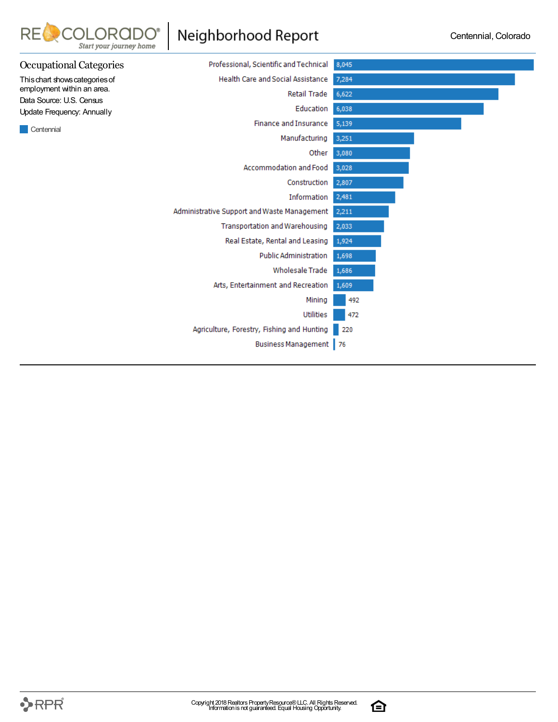

 $RE$ 

COLORAD(